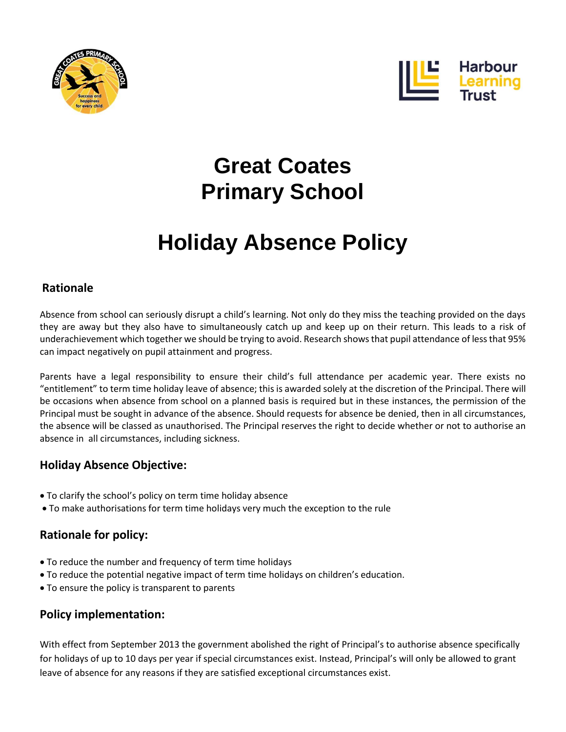



## **Great Coates Primary School**

# **Holiday Absence Policy**

### **Rationale**

Absence from school can seriously disrupt a child's learning. Not only do they miss the teaching provided on the days they are away but they also have to simultaneously catch up and keep up on their return. This leads to a risk of underachievement which together we should be trying to avoid. Research shows that pupil attendance of less that 95% can impact negatively on pupil attainment and progress.

Parents have a legal responsibility to ensure their child's full attendance per academic year. There exists no "entitlement" to term time holiday leave of absence; this is awarded solely at the discretion of the Principal. There will be occasions when absence from school on a planned basis is required but in these instances, the permission of the Principal must be sought in advance of the absence. Should requests for absence be denied, then in all circumstances, the absence will be classed as unauthorised. The Principal reserves the right to decide whether or not to authorise an absence in all circumstances, including sickness.

## **Holiday Absence Objective:**

- To clarify the school's policy on term time holiday absence
- To make authorisations for term time holidays very much the exception to the rule

## **Rationale for policy:**

- To reduce the number and frequency of term time holidays
- To reduce the potential negative impact of term time holidays on children's education.
- To ensure the policy is transparent to parents

### **Policy implementation:**

With effect from September 2013 the government abolished the right of Principal's to authorise absence specifically for holidays of up to 10 days per year if special circumstances exist. Instead, Principal's will only be allowed to grant leave of absence for any reasons if they are satisfied exceptional circumstances exist.